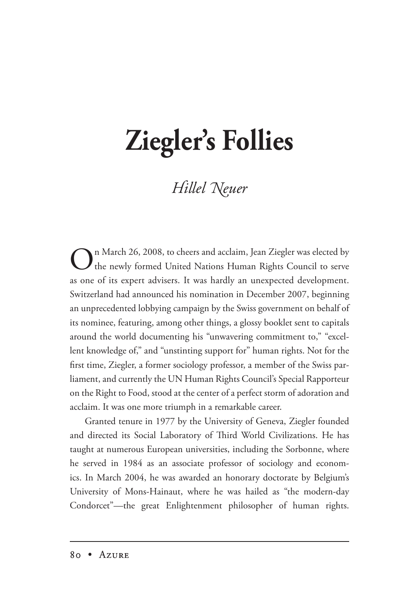## **Ziegler's Follies**

## **Hillel Neuer**

On March 26, 2008, to cheers and acclaim, Jean Ziegler was elected by the newly formed United Nations Human Rights Council to serve as one of its expert advisers. It was hardly an unexpected development. Switzerland had announced his nomination in December 2007, beginning an unprecedented lobbying campaign by the Swiss government on behalf of its nominee, featuring, among other things, a glossy booklet sent to capitals around the world documenting his "unwavering commitment to," "excellent knowledge of," and "unstinting support for" human rights. Not for the first time, Ziegler, a former sociology professor, a member of the Swiss parliament, and currently the UN Human Rights Council's Special Rapporteur on the Right to Food, stood at the center of a perfect storm of adoration and acclaim. It was one more triumph in a remarkable career.

Granted tenure in 1977 by the University of Geneva, Ziegler founded and directed its Social Laboratory of Third World Civilizations. He has taught at numerous European universities, including the Sorbonne, where he served in 1984 as an associate professor of sociology and economics. In March 2004, he was awarded an honorary doctorate by Belgium's University of Mons-Hainaut, where he was hailed as "the modern-day Condorcet"—the great Enlightenment philosopher of human rights.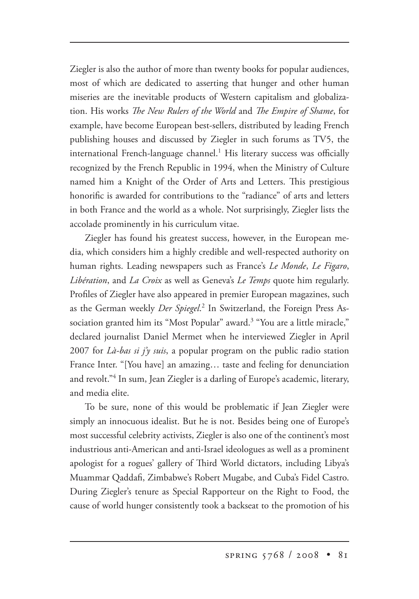Ziegler is also the author of more than twenty books for popular audiences, most of which are dedicated to asserting that hunger and other human miseries are the inevitable products of Western capitalism and globalization. His works *The New Rulers of the World* and *The Empire of Shame*, for example, have become European best-sellers, distributed by leading French publishing houses and discussed by Ziegler in such forums as TV5, the international French-language channel.<sup>1</sup> His literary success was officially recognized by the French Republic in 1994, when the Ministry of Culture named him a Knight of the Order of Arts and Letters. This prestigious honorific is awarded for contributions to the "radiance" of arts and letters in both France and the world as a whole. Not surprisingly, Ziegler lists the accolade prominently in his curriculum vitae.

Ziegler has found his greatest success, however, in the European media, which considers him a highly credible and well-respected authority on human rights. Leading newspapers such as France's *Le Monde*, *Le Figaro*, *Libération*, and *La Croix* as well as Geneva's *Le Temps* quote him regularly. Profiles of Ziegler have also appeared in premier European magazines, such as the German weekly *Der Spiegel*. 2 In Switzerland, the Foreign Press Association granted him its "Most Popular" award.3 "You are a little miracle," declared journalist Daniel Mermet when he interviewed Ziegler in April 2007 for *Là-bas si j'y suis*, a popular program on the public radio station France Inter. "[You have] an amazing… taste and feeling for denunciation and revolt."<sup>4</sup> In sum, Jean Ziegler is a darling of Europe's academic, literary, and media elite.

To be sure, none of this would be problematic if Jean Ziegler were simply an innocuous idealist. But he is not. Besides being one of Europe's most successful celebrity activists, Ziegler is also one of the continent's most industrious anti-American and anti-Israel ideologues as well as a prominent apologist for a rogues' gallery of Third World dictators, including Libya's Muammar Qaddafi, Zimbabwe's Robert Mugabe, and Cuba's Fidel Castro. During Ziegler's tenure as Special Rapporteur on the Right to Food, the cause of world hunger consistently took a backseat to the promotion of his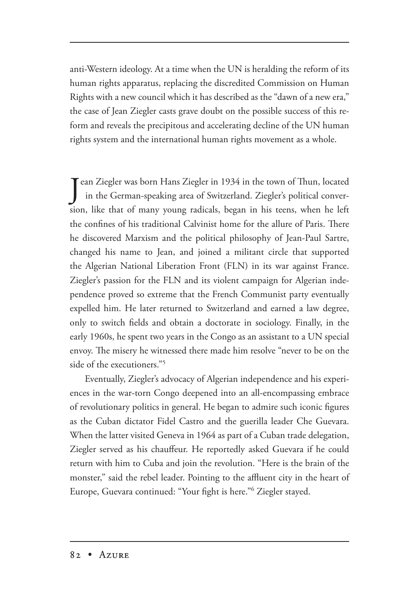anti-Western ideology. At a time when the UN is heralding the reform of its human rights apparatus, replacing the discredited Commission on Human Rights with a new council which it has described as the "dawn of a new era," the case of Jean Ziegler casts grave doubt on the possible success of this reform and reveals the precipitous and accelerating decline of the UN human rights system and the international human rights movement as a whole.

Jean Ziegler was born Hans Ziegler in 1934 in the town of Thun, located<br>in the German-speaking area of Switzerland. Ziegler's political conver in the German-speaking area of Switzerland. Ziegler's political conversion, like that of many young radicals, began in his teens, when he left the confines of his traditional Calvinist home for the allure of Paris. There he discovered Marxism and the political philosophy of Jean-Paul Sartre, changed his name to Jean, and joined a militant circle that supported the Algerian National Liberation Front (FLN) in its war against France. Ziegler's passion for the FLN and its violent campaign for Algerian independence proved so extreme that the French Communist party eventually expelled him. He later returned to Switzerland and earned a law degree, only to switch fields and obtain a doctorate in sociology. Finally, in the early 1960s, he spent two years in the Congo as an assistant to a UN special envoy. The misery he witnessed there made him resolve "never to be on the side of the executioners."5

Eventually, Ziegler's advocacy of Algerian independence and his experiences in the war-torn Congo deepened into an all-encompassing embrace of revolutionary politics in general. He began to admire such iconic figures as the Cuban dictator Fidel Castro and the guerilla leader Che Guevara. When the latter visited Geneva in 1964 as part of a Cuban trade delegation, Ziegler served as his chauffeur. He reportedly asked Guevara if he could return with him to Cuba and join the revolution. "Here is the brain of the monster," said the rebel leader. Pointing to the affluent city in the heart of Europe, Guevara continued: "Your fight is here."6 Ziegler stayed.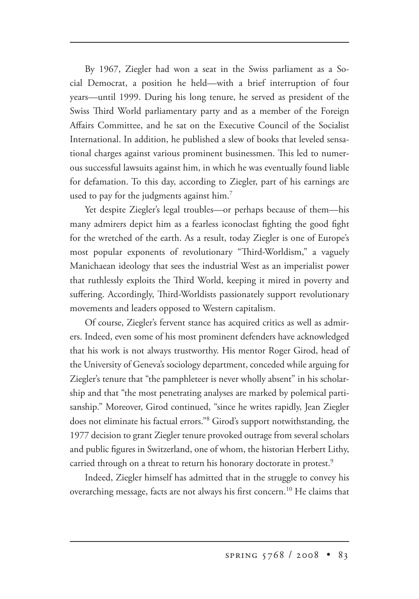By 1967, Ziegler had won a seat in the Swiss parliament as a Social Democrat, a position he held—with a brief interruption of four years—until 1999. During his long tenure, he served as president of the Swiss Third World parliamentary party and as a member of the Foreign Affairs Committee, and he sat on the Executive Council of the Socialist International. In addition, he published a slew of books that leveled sensational charges against various prominent businessmen. This led to numerous successful lawsuits against him, in which he was eventually found liable for defamation. To this day, according to Ziegler, part of his earnings are used to pay for the judgments against him.<sup>7</sup>

Yet despite Ziegler's legal troubles—or perhaps because of them—his many admirers depict him as a fearless iconoclast fighting the good fight for the wretched of the earth. As a result, today Ziegler is one of Europe's most popular exponents of revolutionary "Third-Worldism," a vaguely Manichaean ideology that sees the industrial West as an imperialist power that ruthlessly exploits the Third World, keeping it mired in poverty and suffering. Accordingly, Third-Worldists passionately support revolutionary movements and leaders opposed to Western capitalism.

Of course, Ziegler's fervent stance has acquired critics as well as admirers. Indeed, even some of his most prominent defenders have acknowledged that his work is not always trustworthy. His mentor Roger Girod, head of the University of Geneva's sociology department, conceded while arguing for Ziegler's tenure that "the pamphleteer is never wholly absent" in his scholarship and that "the most penetrating analyses are marked by polemical partisanship." Moreover, Girod continued, "since he writes rapidly, Jean Ziegler does not eliminate his factual errors."8 Girod's support notwithstanding, the 1977 decision to grant Ziegler tenure provoked outrage from several scholars and public figures in Switzerland, one of whom, the historian Herbert Lithy, carried through on a threat to return his honorary doctorate in protest.<sup>9</sup>

Indeed, Ziegler himself has admitted that in the struggle to convey his overarching message, facts are not always his first concern.<sup>10</sup> He claims that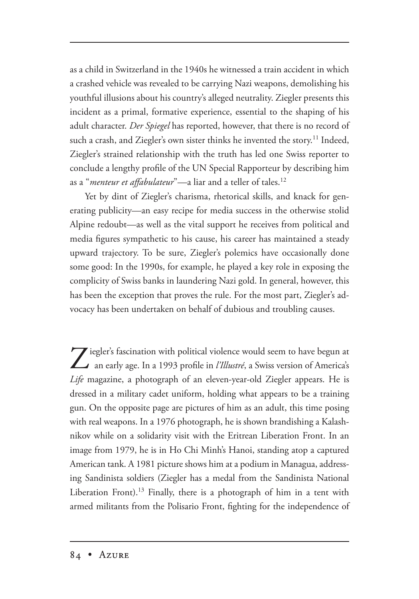as a child in Switzerland in the 1940s he witnessed a train accident in which a crashed vehicle was revealed to be carrying Nazi weapons, demolishing his youthful illusions about his country's alleged neutrality. Ziegler presents this incident as a primal, formative experience, essential to the shaping of his adult character. *Der Spiegel* has reported, however, that there is no record of such a crash, and Ziegler's own sister thinks he invented the story.<sup>11</sup> Indeed, Ziegler's strained relationship with the truth has led one Swiss reporter to conclude a lengthy profile of the UN Special Rapporteur by describing him as a "*menteur et affabulateur*"—a liar and a teller of tales.12

Yet by dint of Ziegler's charisma, rhetorical skills, and knack for generating publicity—an easy recipe for media success in the otherwise stolid Alpine redoubt—as well as the vital support he receives from political and media figures sympathetic to his cause, his career has maintained a steady upward trajectory. To be sure, Ziegler's polemics have occasionally done some good: In the 1990s, for example, he played a key role in exposing the complicity of Swiss banks in laundering Nazi gold. In general, however, this has been the exception that proves the rule. For the most part, Ziegler's advocacy has been undertaken on behalf of dubious and troubling causes.

Ziegler's fascination with political violence would seem to have begun at an early age. In a 1993 profile in *l'Illustré*, a Swiss version of America's *Life* magazine, a photograph of an eleven-year-old Ziegler appears. He is dressed in a military cadet uniform, holding what appears to be a training gun. On the opposite page are pictures of him as an adult, this time posing with real weapons. In a 1976 photograph, he is shown brandishing a Kalashnikov while on a solidarity visit with the Eritrean Liberation Front. In an image from 1979, he is in Ho Chi Minh's Hanoi, standing atop a captured American tank. A 1981 picture shows him at a podium in Managua, addressing Sandinista soldiers (Ziegler has a medal from the Sandinista National Liberation Front).<sup>13</sup> Finally, there is a photograph of him in a tent with armed militants from the Polisario Front, fighting for the independence of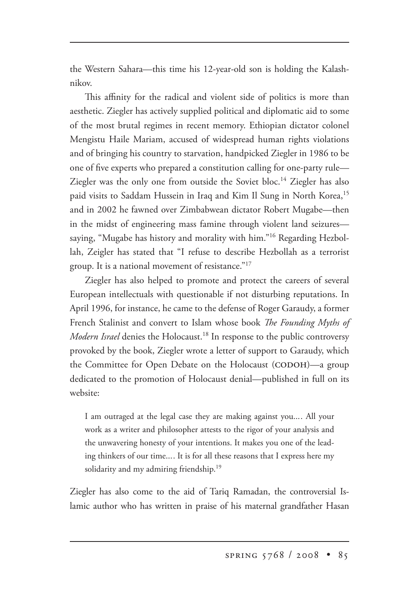the Western Sahara—this time his 12-year-old son is holding the Kalashnikov.

This affinity for the radical and violent side of politics is more than aesthetic. Ziegler has actively supplied political and diplomatic aid to some of the most brutal regimes in recent memory. Ethiopian dictator colonel Mengistu Haile Mariam, accused of widespread human rights violations and of bringing his country to starvation, handpicked Ziegler in 1986 to be one of five experts who prepared a constitution calling for one-party rule— Ziegler was the only one from outside the Soviet bloc.<sup>14</sup> Ziegler has also paid visits to Saddam Hussein in Iraq and Kim Il Sung in North Korea,<sup>15</sup> and in 2002 he fawned over Zimbabwean dictator Robert Mugabe—then in the midst of engineering mass famine through violent land seizures saying, "Mugabe has history and morality with him."<sup>16</sup> Regarding Hezbollah, Zeigler has stated that "I refuse to describe Hezbollah as a terrorist group. It is a national movement of resistance." $17$ 

Ziegler has also helped to promote and protect the careers of several European intellectuals with questionable if not disturbing reputations. In April 1996, for instance, he came to the defense of Roger Garaudy, a former French Stalinist and convert to Islam whose book *The Founding Myths of Modern Israel* denies the Holocaust.<sup>18</sup> In response to the public controversy provoked by the book, Ziegler wrote a letter of support to Garaudy, which the Committee for Open Debate on the Holocaust (CODOH)—a group dedicated to the promotion of Holocaust denial—published in full on its website:

I am outraged at the legal case they are making against you.... All your work as a writer and philosopher attests to the rigor of your analysis and the unwavering honesty of your intentions. It makes you one of the leading thinkers of our time.... It is for all these reasons that I express here my solidarity and my admiring friendship.<sup>19</sup>

Ziegler has also come to the aid of Tariq Ramadan, the controversial Islamic author who has written in praise of his maternal grandfather Hasan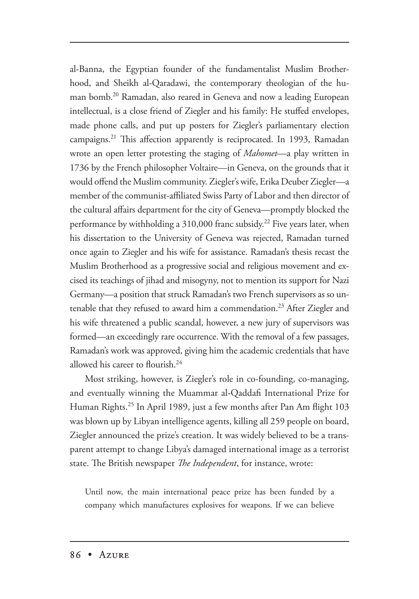al-Banna, the Egyptian founder of the fundamentalist Muslim Brotherhood, and Sheikh al-Qaradawi, the contemporary theologian of the human bomb.20 Ramadan, also reared in Geneva and now a leading European intellectual, is a close friend of Ziegler and his family: He stuffed envelopes, made phone calls, and put up posters for Ziegler's parliamentary election campaigns.<sup>21</sup> This affection apparently is reciprocated. In 1993, Ramadan wrote an open letter protesting the staging of *Mahomet*—a play written in 1736 by the French philosopher Voltaire—in Geneva, on the grounds that it would offend the Muslim community. Ziegler's wife, Erika Deuber Ziegler—a member of the communist-affiliated Swiss Party of Labor and then director of the cultural affairs department for the city of Geneva—promptly blocked the performance by withholding a  $310,000$  franc subsidy.<sup>22</sup> Five years later, when his dissertation to the University of Geneva was rejected, Ramadan turned once again to Ziegler and his wife for assistance. Ramadan's thesis recast the Muslim Brotherhood as a progressive social and religious movement and excised its teachings of jihad and misogyny, not to mention its support for Nazi Germany—a position that struck Ramadan's two French supervisors as so untenable that they refused to award him a commendation.<sup>23</sup> After Ziegler and his wife threatened a public scandal, however, a new jury of supervisors was formed—an exceedingly rare occurrence. With the removal of a few passages, Ramadan's work was approved, giving him the academic credentials that have allowed his career to flourish.<sup>24</sup>

Most striking, however, is Ziegler's role in co-founding, co-managing, and eventually winning the Muammar al-Qaddafi International Prize for Human Rights.25 In April 1989, just a few months after Pan Am flight 103 was blown up by Libyan intelligence agents, killing all 259 people on board, Ziegler announced the prize's creation. It was widely believed to be a transparent attempt to change Libya's damaged international image as a terrorist state. The British newspaper *The Independent*, for instance, wrote:

Until now, the main international peace prize has been funded by a company which manufactures explosives for weapons. If we can believe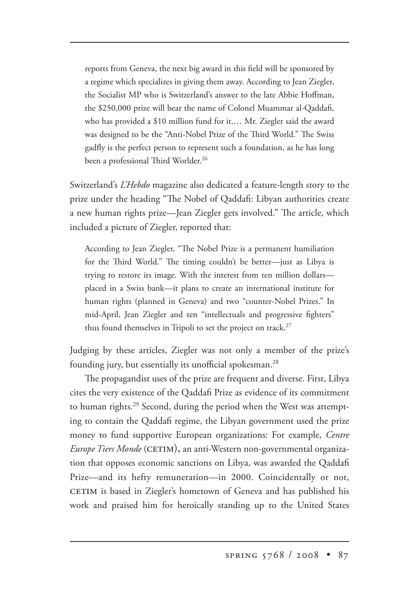reports from Geneva, the next big award in this field will be sponsored by a regime which specializes in giving them away. According to Jean Ziegler, the Socialist MP who is Switzerland's answer to the late Abbie Hoffman, the \$250,000 prize will bear the name of Colonel Muammar al-Qaddafi, who has provided a \$10 million fund for it.… Mr. Ziegler said the award was designed to be the "Anti-Nobel Prize of the Third World." The Swiss gadfly is the perfect person to represent such a foundation, as he has long been a professional Third Worlder.<sup>26</sup>

Switzerland's *L'Hebdo* magazine also dedicated a feature-length story to the prize under the heading "The Nobel of Qaddafi: Libyan authorities create a new human rights prize—Jean Ziegler gets involved." The article, which included a picture of Ziegler, reported that:

According to Jean Ziegler, "The Nobel Prize is a permanent humiliation for the Third World." The timing couldn't be better-just as Libya is trying to restore its image. With the interest from ten million dollars placed in a Swiss bank—it plans to create an international institute for human rights (planned in Geneva) and two "counter-Nobel Prizes." In mid-April, Jean Ziegler and ten "intellectuals and progressive fighters" thus found themselves in Tripoli to set the project on track.<sup>27</sup>

Judging by these articles, Ziegler was not only a member of the prize's founding jury, but essentially its unofficial spokesman.<sup>28</sup>

The propagandist uses of the prize are frequent and diverse. First, Libya cites the very existence of the Qaddafi Prize as evidence of its commitment to human rights.<sup>29</sup> Second, during the period when the West was attempting to contain the Qaddafi regime, the Libyan government used the prize money to fund supportive European organizations: For example, *Centre Europe Tiers Monde* (), an anti-Western non-governmental organization that opposes economic sanctions on Libya, was awarded the Qaddafi Prize—and its hefty remuneration—in 2000. Coincidentally or not, CETIM is based in Ziegler's hometown of Geneva and has published his work and praised him for heroically standing up to the United States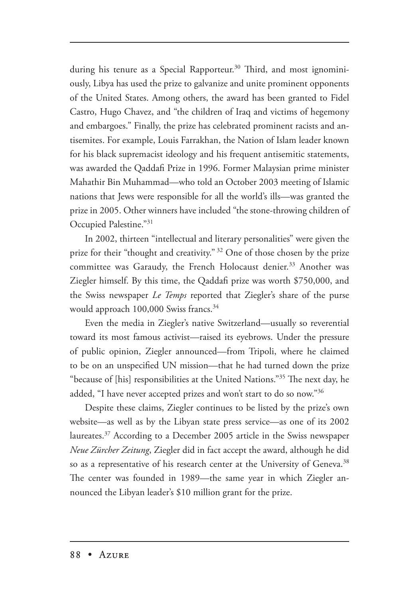during his tenure as a Special Rapporteur.<sup>30</sup> Third, and most ignominiously, Libya has used the prize to galvanize and unite prominent opponents of the United States. Among others, the award has been granted to Fidel Castro, Hugo Chavez, and "the children of Iraq and victims of hegemony and embargoes." Finally, the prize has celebrated prominent racists and antisemites. For example, Louis Farrakhan, the Nation of Islam leader known for his black supremacist ideology and his frequent antisemitic statements, was awarded the Qaddafi Prize in 1996. Former Malaysian prime minister Mahathir Bin Muhammad—who told an October 2003 meeting of Islamic nations that Jews were responsible for all the world's ills—was granted the prize in 2005. Other winners have included "the stone-throwing children of Occupied Palestine."31

In 2002, thirteen "intellectual and literary personalities" were given the prize for their "thought and creativity."<sup>32</sup> One of those chosen by the prize committee was Garaudy, the French Holocaust denier.<sup>33</sup> Another was Ziegler himself. By this time, the Qaddafi prize was worth \$750,000, and the Swiss newspaper *Le Temps* reported that Ziegler's share of the purse would approach 100,000 Swiss francs.<sup>34</sup>

Even the media in Ziegler's native Switzerland—usually so reverential toward its most famous activist—raised its eyebrows. Under the pressure of public opinion, Ziegler announced—from Tripoli, where he claimed to be on an unspecified UN mission—that he had turned down the prize "because of [his] responsibilities at the United Nations."<sup>35</sup> The next day, he added, "I have never accepted prizes and won't start to do so now."36

Despite these claims, Ziegler continues to be listed by the prize's own website—as well as by the Libyan state press service—as one of its 2002 laureates.37 According to a December 2005 article in the Swiss newspaper *Neue Zürcher Zeitung*, Ziegler did in fact accept the award, although he did so as a representative of his research center at the University of Geneva.<sup>38</sup> The center was founded in 1989—the same year in which Ziegler announced the Libyan leader's \$10 million grant for the prize.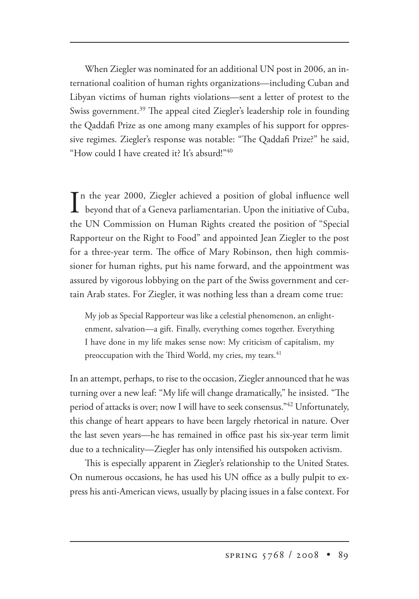When Ziegler was nominated for an additional UN post in 2006, an international coalition of human rights organizations—including Cuban and Libyan victims of human rights violations—sent a letter of protest to the Swiss government.<sup>39</sup> The appeal cited Ziegler's leadership role in founding the Qaddafi Prize as one among many examples of his support for oppressive regimes. Ziegler's response was notable: "The Qaddafi Prize?" he said, "How could I have created it? It's absurd!"40

In the year 2000, Ziegler achieved a position of global influence well<br>beyond that of a Geneva parliamentarian. Upon the initiative of Cuba, n the year 2000, Ziegler achieved a position of global influence well the UN Commission on Human Rights created the position of "Special Rapporteur on the Right to Food" and appointed Jean Ziegler to the post for a three-year term. The office of Mary Robinson, then high commissioner for human rights, put his name forward, and the appointment was assured by vigorous lobbying on the part of the Swiss government and certain Arab states. For Ziegler, it was nothing less than a dream come true:

My job as Special Rapporteur was like a celestial phenomenon, an enlightenment, salvation—a gift. Finally, everything comes together. Everything I have done in my life makes sense now: My criticism of capitalism, my preoccupation with the Third World, my cries, my tears. $41$ 

In an attempt, perhaps, to rise to the occasion, Ziegler announced that he was turning over a new leaf: "My life will change dramatically," he insisted. "The period of attacks is over; now I will have to seek consensus."<sup>42</sup> Unfortunately, this change of heart appears to have been largely rhetorical in nature. Over the last seven years—he has remained in office past his six-year term limit due to a technicality—Ziegler has only intensified his outspoken activism.

This is especially apparent in Ziegler's relationship to the United States. On numerous occasions, he has used his UN office as a bully pulpit to express his anti-American views, usually by placing issues in a false context. For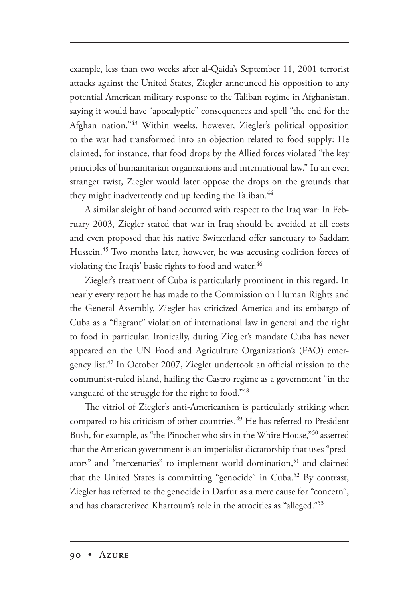example, less than two weeks after al-Qaida's September 11, 2001 terrorist attacks against the United States, Ziegler announced his opposition to any potential American military response to the Taliban regime in Afghanistan, saying it would have "apocalyptic" consequences and spell "the end for the Afghan nation."43 Within weeks, however, Ziegler's political opposition to the war had transformed into an objection related to food supply: He claimed, for instance, that food drops by the Allied forces violated "the key principles of humanitarian organizations and international law." In an even stranger twist, Ziegler would later oppose the drops on the grounds that they might inadvertently end up feeding the Taliban.<sup>44</sup>

A similar sleight of hand occurred with respect to the Iraq war: In February 2003, Ziegler stated that war in Iraq should be avoided at all costs and even proposed that his native Switzerland offer sanctuary to Saddam Hussein.45 Two months later, however, he was accusing coalition forces of violating the Iraqis' basic rights to food and water. $46$ 

Ziegler's treatment of Cuba is particularly prominent in this regard. In nearly every report he has made to the Commission on Human Rights and the General Assembly, Ziegler has criticized America and its embargo of Cuba as a "flagrant" violation of international law in general and the right to food in particular. Ironically, during Ziegler's mandate Cuba has never appeared on the UN Food and Agriculture Organization's (FAO) emergency list.47 In October 2007, Ziegler undertook an official mission to the communist-ruled island, hailing the Castro regime as a government "in the vanguard of the struggle for the right to food."48

The vitriol of Ziegler's anti-Americanism is particularly striking when compared to his criticism of other countries.<sup>49</sup> He has referred to President Bush, for example, as "the Pinochet who sits in the White House,"50 asserted that the American government is an imperialist dictatorship that uses "predators" and "mercenaries" to implement world domination,<sup>51</sup> and claimed that the United States is committing "genocide" in Cuba.<sup>52</sup> By contrast, Ziegler has referred to the genocide in Darfur as a mere cause for "concern", and has characterized Khartoum's role in the atrocities as "alleged."53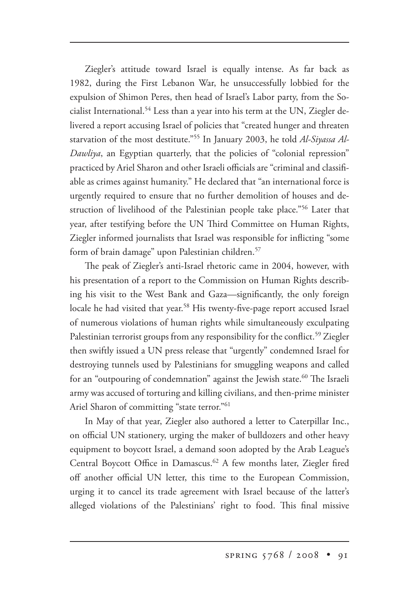Ziegler's attitude toward Israel is equally intense. As far back as 1982, during the First Lebanon War, he unsuccessfully lobbied for the expulsion of Shimon Peres, then head of Israel's Labor party, from the Socialist International.<sup>54</sup> Less than a year into his term at the UN, Ziegler delivered a report accusing Israel of policies that "created hunger and threaten starvation of the most destitute."55 In January 2003, he told *Al-Siyassa Al-Dawliya*, an Egyptian quarterly, that the policies of "colonial repression" practiced by Ariel Sharon and other Israeli officials are "criminal and classifiable as crimes against humanity." He declared that "an international force is urgently required to ensure that no further demolition of houses and destruction of livelihood of the Palestinian people take place."56 Later that year, after testifying before the UN Third Committee on Human Rights, Ziegler informed journalists that Israel was responsible for inflicting "some form of brain damage" upon Palestinian children.<sup>57</sup>

The peak of Ziegler's anti-Israel rhetoric came in 2004, however, with his presentation of a report to the Commission on Human Rights describing his visit to the West Bank and Gaza—significantly, the only foreign locale he had visited that year.<sup>58</sup> His twenty-five-page report accused Israel of numerous violations of human rights while simultaneously exculpating Palestinian terrorist groups from any responsibility for the conflict.<sup>59</sup> Ziegler then swiftly issued a UN press release that "urgently" condemned Israel for destroying tunnels used by Palestinians for smuggling weapons and called for an "outpouring of condemnation" against the Jewish state.<sup>60</sup> The Israeli army was accused of torturing and killing civilians, and then-prime minister Ariel Sharon of committing "state terror."<sup>61</sup>

In May of that year, Ziegler also authored a letter to Caterpillar Inc., on official UN stationery, urging the maker of bulldozers and other heavy equipment to boycott Israel, a demand soon adopted by the Arab League's Central Boycott Office in Damascus.<sup>62</sup> A few months later, Ziegler fired off another official UN letter, this time to the European Commission, urging it to cancel its trade agreement with Israel because of the latter's alleged violations of the Palestinians' right to food. This final missive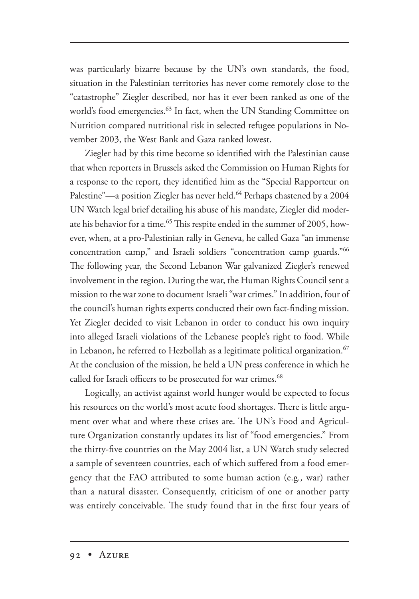was particularly bizarre because by the UN's own standards, the food, situation in the Palestinian territories has never come remotely close to the "catastrophe" Ziegler described, nor has it ever been ranked as one of the world's food emergencies.63 In fact, when the UN Standing Committee on Nutrition compared nutritional risk in selected refugee populations in November 2003, the West Bank and Gaza ranked lowest.

Ziegler had by this time become so identified with the Palestinian cause that when reporters in Brussels asked the Commission on Human Rights for a response to the report, they identified him as the "Special Rapporteur on Palestine"—a position Ziegler has never held.<sup>64</sup> Perhaps chastened by a 2004 UN Watch legal brief detailing his abuse of his mandate, Ziegler did moderate his behavior for a time. $^{65}$  This respite ended in the summer of 2005, however, when, at a pro-Palestinian rally in Geneva, he called Gaza "an immense concentration camp," and Israeli soldiers "concentration camp guards."66 The following year, the Second Lebanon War galvanized Ziegler's renewed involvement in the region. During the war, the Human Rights Council sent a mission to the war zone to document Israeli "war crimes." In addition, four of the council's human rights experts conducted their own fact-finding mission. Yet Ziegler decided to visit Lebanon in order to conduct his own inquiry into alleged Israeli violations of the Lebanese people's right to food. While in Lebanon, he referred to Hezbollah as a legitimate political organization. $67$ At the conclusion of the mission, he held a UN press conference in which he called for Israeli officers to be prosecuted for war crimes.<sup>68</sup>

Logically, an activist against world hunger would be expected to focus his resources on the world's most acute food shortages. There is little argument over what and where these crises are. The UN's Food and Agriculture Organization constantly updates its list of "food emergencies." From the thirty-five countries on the May 2004 list, a UN Watch study selected a sample of seventeen countries, each of which suffered from a food emergency that the FAO attributed to some human action (e.g*.,* war) rather than a natural disaster. Consequently, criticism of one or another party was entirely conceivable. The study found that in the first four years of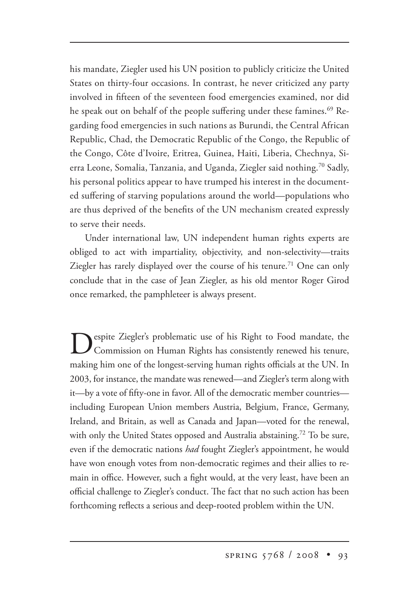his mandate, Ziegler used his UN position to publicly criticize the United States on thirty-four occasions. In contrast, he never criticized any party involved in fifteen of the seventeen food emergencies examined, nor did he speak out on behalf of the people suffering under these famines.<sup>69</sup> Regarding food emergencies in such nations as Burundi, the Central African Republic, Chad, the Democratic Republic of the Congo, the Republic of the Congo, Côte d'Ivoire, Eritrea, Guinea, Haiti, Liberia, Chechnya, Sierra Leone, Somalia, Tanzania, and Uganda, Ziegler said nothing.<sup>70</sup> Sadly, his personal politics appear to have trumped his interest in the documented suffering of starving populations around the world—populations who are thus deprived of the benefits of the UN mechanism created expressly to serve their needs.

Under international law, UN independent human rights experts are obliged to act with impartiality, objectivity, and non-selectivity—traits Ziegler has rarely displayed over the course of his tenure.<sup>71</sup> One can only conclude that in the case of Jean Ziegler, as his old mentor Roger Girod once remarked, the pamphleteer is always present.

**Despite Ziegler's problematic use of his Right to Food mandate, the Commission on Human Rights has consistently renewed his tenure,** making him one of the longest-serving human rights officials at the UN. In 2003, for instance, the mandate was renewed—and Ziegler's term along with it—by a vote of fifty-one in favor. All of the democratic member countries including European Union members Austria, Belgium, France, Germany, Ireland, and Britain, as well as Canada and Japan—voted for the renewal, with only the United States opposed and Australia abstaining.<sup>72</sup> To be sure, even if the democratic nations *had* fought Ziegler's appointment, he would have won enough votes from non-democratic regimes and their allies to remain in office. However, such a fight would, at the very least, have been an official challenge to Ziegler's conduct. The fact that no such action has been forthcoming reflects a serious and deep-rooted problem within the UN.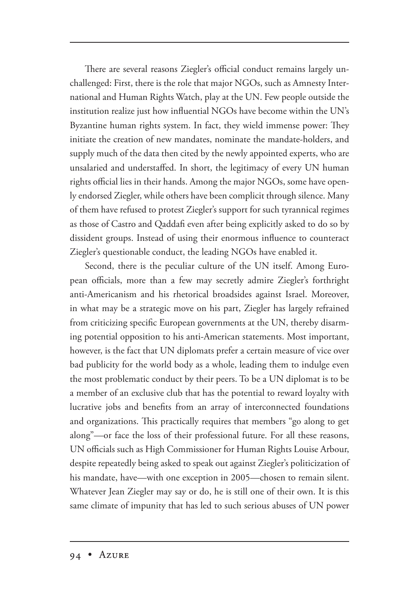There are several reasons Ziegler's official conduct remains largely unchallenged: First, there is the role that major NGOs, such as Amnesty International and Human Rights Watch, play at the UN. Few people outside the institution realize just how influential NGOs have become within the UN's Byzantine human rights system. In fact, they wield immense power: They initiate the creation of new mandates, nominate the mandate-holders, and supply much of the data then cited by the newly appointed experts, who are unsalaried and understaffed. In short, the legitimacy of every UN human rights official lies in their hands. Among the major NGOs, some have openly endorsed Ziegler, while others have been complicit through silence. Many of them have refused to protest Ziegler's support for such tyrannical regimes as those of Castro and Qaddafi even after being explicitly asked to do so by dissident groups. Instead of using their enormous influence to counteract Ziegler's questionable conduct, the leading NGOs have enabled it.

Second, there is the peculiar culture of the UN itself. Among European officials, more than a few may secretly admire Ziegler's forthright anti-Americanism and his rhetorical broadsides against Israel. Moreover, in what may be a strategic move on his part, Ziegler has largely refrained from criticizing specific European governments at the UN, thereby disarming potential opposition to his anti-American statements. Most important, however, is the fact that UN diplomats prefer a certain measure of vice over bad publicity for the world body as a whole, leading them to indulge even the most problematic conduct by their peers. To be a UN diplomat is to be a member of an exclusive club that has the potential to reward loyalty with lucrative jobs and benefits from an array of interconnected foundations and organizations. This practically requires that members "go along to get along"—or face the loss of their professional future. For all these reasons, UN officials such as High Commissioner for Human Rights Louise Arbour, despite repeatedly being asked to speak out against Ziegler's politicization of his mandate, have—with one exception in 2005—chosen to remain silent. Whatever Jean Ziegler may say or do, he is still one of their own. It is this same climate of impunity that has led to such serious abuses of UN power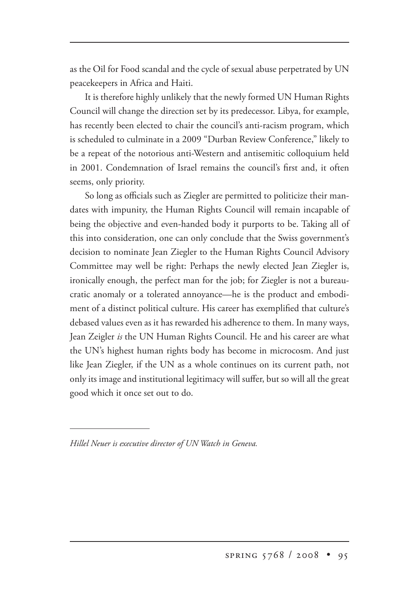as the Oil for Food scandal and the cycle of sexual abuse perpetrated by UN peacekeepers in Africa and Haiti.

It is therefore highly unlikely that the newly formed UN Human Rights Council will change the direction set by its predecessor. Libya, for example, has recently been elected to chair the council's anti-racism program, which is scheduled to culminate in a 2009 "Durban Review Conference," likely to be a repeat of the notorious anti-Western and antisemitic colloquium held in 2001. Condemnation of Israel remains the council's first and, it often seems, only priority.

So long as officials such as Ziegler are permitted to politicize their mandates with impunity, the Human Rights Council will remain incapable of being the objective and even-handed body it purports to be. Taking all of this into consideration, one can only conclude that the Swiss government's decision to nominate Jean Ziegler to the Human Rights Council Advisory Committee may well be right: Perhaps the newly elected Jean Ziegler is, ironically enough, the perfect man for the job; for Ziegler is not a bureaucratic anomaly or a tolerated annoyance—he is the product and embodiment of a distinct political culture. His career has exemplified that culture's debased values even as it has rewarded his adherence to them. In many ways, Jean Zeigler *is* the UN Human Rights Council. He and his career are what the UN's highest human rights body has become in microcosm. And just like Jean Ziegler, if the UN as a whole continues on its current path, not only its image and institutional legitimacy will suffer, but so will all the great good which it once set out to do.

*Hillel Neuer is executive director of UN Watch in Geneva.*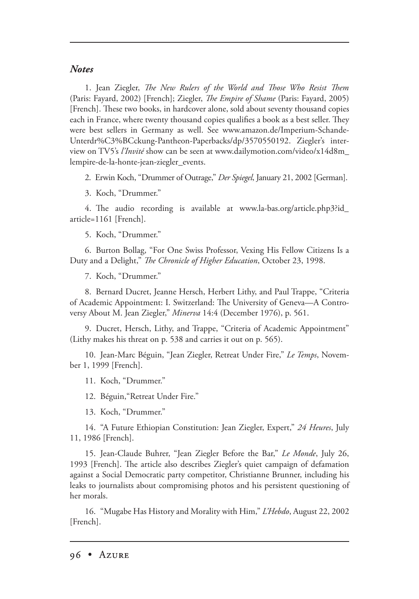## *Notes*

1. Jean Ziegler, *The New Rulers of the World and Those Who Resist Them* (Paris: Fayard, 2002) [French]; Ziegler, *The Empire of Shame* (Paris: Fayard, 2005) [French]. These two books, in hardcover alone, sold about seventy thousand copies each in France, where twenty thousand copies qualifies a book as a best seller. They were best sellers in Germany as well. See www.amazon.de/Imperium-Schande-Unterdr%C3%BCckung-Pantheon-Paperbacks/dp/3570550192. Ziegler's interview on TV5's *l'Invité* show can be seen at www.dailymotion.com/video/x14d8m\_ lempire-de-la-honte-jean-ziegler\_events.

2. Erwin Koch, "Drummer of Outrage," *Der Spiegel*, January 21, 2002 [German].

3. Koch, "Drummer."

4. The audio recording is available at www.la-bas.org/article.php3?id\_ article=1161 [French].

5. Koch, "Drummer."

6. Burton Bollag, "For One Swiss Professor, Vexing His Fellow Citizens Is a Duty and a Delight," *The Chronicle of Higher Education*, October 23, 1998.

7. Koch, "Drummer."

8. Bernard Ducret, Jeanne Hersch, Herbert Lithy, and Paul Trappe, "Criteria of Academic Appointment: I. Switzerland: The University of Geneva--- A Controversy About M. Jean Ziegler," *Minerva* 14:4 (December 1976), p. 561.

9. Ducret, Hersch, Lithy, and Trappe, "Criteria of Academic Appointment" (Lithy makes his threat on p. 538 and carries it out on p. 565).

10. Jean-Marc Béguin, "Jean Ziegler, Retreat Under Fire," *Le Temps*, November 1, 1999 [French].

11. Koch, "Drummer."

12. Béguin,"Retreat Under Fire."

13. Koch, "Drummer."

14. "A Future Ethiopian Constitution: Jean Ziegler, Expert," *24 Heures*, July 11, 1986 [French].

15. Jean-Claude Buhrer, "Jean Ziegler Before the Bar," *Le Monde*, July 26, 1993 [French]. The article also describes Ziegler's quiet campaign of defamation against a Social Democratic party competitor, Christianne Brunner, including his leaks to journalists about compromising photos and his persistent questioning of her morals.

16. "Mugabe Has History and Morality with Him," *L'Hebdo*, August 22, 2002 [French].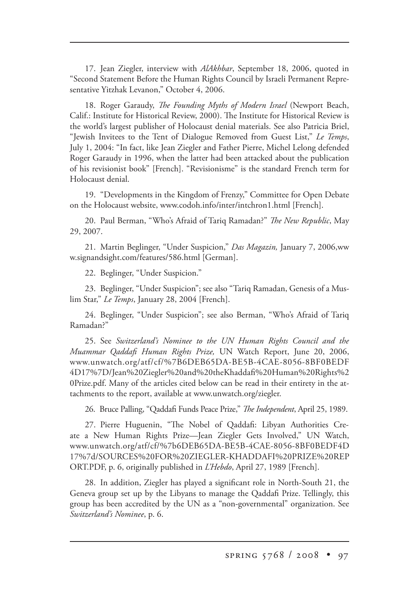17. Jean Ziegler, interview with *AlAkhbar*, September 18, 2006, quoted in "Second Statement Before the Human Rights Council by Israeli Permanent Representative Yitzhak Levanon," October 4, 2006.

18. Roger Garaudy, *The Founding Myths of Modern Israel* (Newport Beach, Calif.: Institute for Historical Review, 2000). The Institute for Historical Review is the world's largest publisher of Holocaust denial materials. See also Patricia Briel, "Jewish Invitees to the Tent of Dialogue Removed from Guest List," *Le Temps*, July 1, 2004: "In fact, like Jean Ziegler and Father Pierre, Michel Lelong defended Roger Garaudy in 1996, when the latter had been attacked about the publication of his revisionist book" [French]. "Revisionisme" is the standard French term for Holocaust denial.

19. "Developments in the Kingdom of Frenzy," Committee for Open Debate on the Holocaust website, www.codoh.info/inter/intchron1.html [French].

20. Paul Berman, "Who's Afraid of Tariq Ramadan?" *The New Republic*, May 29, 2007.

21. Martin Beglinger, "Under Suspicion," *Das Magazin,* January 7, 2006,ww w.signandsight.com/features/586.html [German].

22. Beglinger, "Under Suspicion."

23. Beglinger, "Under Suspicion"; see also "Tariq Ramadan, Genesis of a Muslim Star," *Le Temps*, January 28, 2004 [French].

24. Beglinger, "Under Suspicion"; see also Berman, "Who's Afraid of Tariq Ramadan?"

25. See *Switzerland's Nominee to the UN Human Rights Council and the Muammar Qaddafi Human Rights Prize,* UN Watch Report, June 20, 2006, www.unwatch.org/atf/cf/%7B6DEB65DA-BE5B-4CAE-8056-8BF0BEDF 4D17%7D/Jean%20Ziegler%20and%20theKhaddafi%20Human%20Rights%2 0Prize.pdf. Many of the articles cited below can be read in their entirety in the attachments to the report, available at www.unwatch.org/ziegler.

26. Bruce Palling, "Qaddafi Funds Peace Prize," *The Independent*, April 25, 1989.

27. Pierre Huguenin, "The Nobel of Qaddafi: Libyan Authorities Create a New Human Rights Prize—Jean Ziegler Gets Involved," UN Watch, www.unwatch.org/atf/cf/%7b6DEB65DA-BE5B-4CAE-8056-8BF0BEDF4D 17%7d/SOURCES%20FOR%20ZIEGLER-KHADDAFI%20PRIZE%20REP ORT.PDF, p. 6, originally published in *L'Hebdo*, April 27, 1989 [French].

28. In addition, Ziegler has played a significant role in North-South 21, the Geneva group set up by the Libyans to manage the Qaddafi Prize. Tellingly, this group has been accredited by the UN as a "non-governmental" organization. See *Switzerland's Nominee*, p. 6.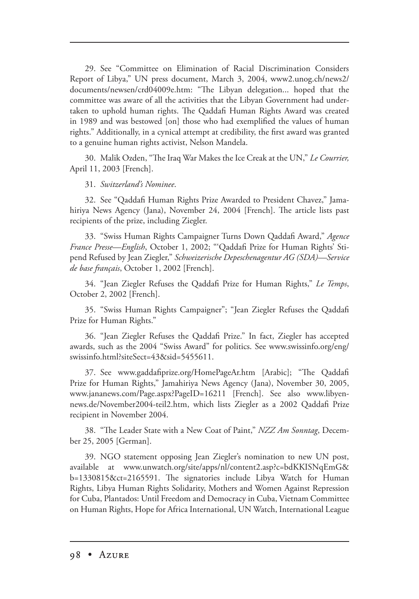29. See "Committee on Elimination of Racial Discrimination Considers Report of Libya," UN press document, March 3, 2004, www2.unog.ch/news2/ documents/newsen/crd04009e.htm: "The Libyan delegation... hoped that the committee was aware of all the activities that the Libyan Government had undertaken to uphold human rights. The Qaddafi Human Rights Award was created in 1989 and was bestowed [on] those who had exemplified the values of human rights." Additionally, in a cynical attempt at credibility, the first award was granted to a genuine human rights activist, Nelson Mandela.

30. Malik Ozden, "The Iraq War Makes the Ice Creak at the UN," *Le Courrier*, April 11, 2003 [French].

## 31. *Switzerland's Nominee*.

32. See "Qaddafi Human Rights Prize Awarded to President Chavez," Jamahiriya News Agency (Jana), November 24, 2004 [French]. The article lists past recipients of the prize, including Ziegler.

33. "Swiss Human Rights Campaigner Turns Down Qaddafi Award," *Agence France Presse—English*, October 1, 2002; "'Qaddafi Prize for Human Rights' Stipend Refused by Jean Ziegler," *Schweizerische Depeschenagentur AG (SDA)—Service de base français*, October 1, 2002 [French].

34. "Jean Ziegler Refuses the Qaddafi Prize for Human Rights," *Le Temps*, October 2, 2002 [French].

35. "Swiss Human Rights Campaigner"; "Jean Ziegler Refuses the Qaddafi Prize for Human Rights."

36. "Jean Ziegler Refuses the Qaddafi Prize." In fact, Ziegler has accepted awards, such as the 2004 "Swiss Award" for politics. See www.swissinfo.org/eng/ swissinfo.html?siteSect=43&sid=5455611.

37. See www.gaddafiprize.org/HomePageAr.htm [Arabic]; "The Qaddafi Prize for Human Rights," Jamahiriya News Agency (Jana), November 30, 2005, www.jananews.com/Page.aspx?PageID=16211 [French]. See also www.libyennews.de/November2004-teil2.htm, which lists Ziegler as a 2002 Qaddafi Prize recipient in November 2004.

38. "The Leader State with a New Coat of Paint," *NZZ Am Sonntag*, December 25, 2005 [German].

39. NGO statement opposing Jean Ziegler's nomination to new UN post, available at www.unwatch.org/site/apps/nl/content2.asp?c=bdKKISNqEmG& b=1330815&ct=2165591. The signatories include Libya Watch for Human Rights, Libya Human Rights Solidarity, Mothers and Women Against Repression for Cuba, Plantados: Until Freedom and Democracy in Cuba, Vietnam Committee on Human Rights, Hope for Africa International, UN Watch, International League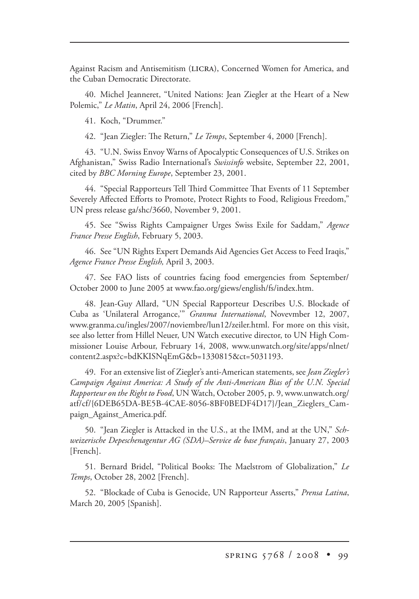Against Racism and Antisemitism (LICRA), Concerned Women for America, and the Cuban Democratic Directorate.

40. Michel Jeanneret, "United Nations: Jean Ziegler at the Heart of a New Polemic," *Le Matin*, April 24, 2006 [French].

41. Koch, "Drummer."

42. "Jean Ziegler: The Return," *Le Temps*, September 4, 2000 [French].

43. "U.N. Swiss Envoy Warns of Apocalyptic Consequences of U.S. Strikes on Afghanistan," Swiss Radio International's *Swissinfo* website, September 22, 2001, cited by *BBC Morning Europe*, September 23, 2001.

44. "Special Rapporteurs Tell Third Committee That Events of 11 September Severely Affected Efforts to Promote, Protect Rights to Food, Religious Freedom," UN press release ga/shc/3660, November 9, 2001.

45. See "Swiss Rights Campaigner Urges Swiss Exile for Saddam," *Agence France Presse English*, February 5, 2003.

46. See "UN Rights Expert Demands Aid Agencies Get Access to Feed Iraqis," *Agence France Presse English,* April 3, 2003.

47. See FAO lists of countries facing food emergencies from September/ October 2000 to June 2005 at www.fao.org/giews/english/fs/index.htm.

48. Jean-Guy Allard, "UN Special Rapporteur Describes U.S. Blockade of Cuba as 'Unilateral Arrogance,'" *Granma International*, Novevmber 12, 2007, www.granma.cu/ingles/2007/noviembre/lun12/zeiler.html. For more on this visit, see also letter from Hillel Neuer, UN Watch executive director, to UN High Commissioner Louise Arbour, February 14, 2008, www.unwatch.org/site/apps/nlnet/ content2.aspx?c=bdKKISNqEmG&b=1330815&ct=5031193.

49. For an extensive list of Ziegler's anti-American statements, see *Jean Ziegler's Campaign Against America: A Study of the Anti-American Bias of the U.N. Special Rapporteur on the Right to Food*, UN Watch, October 2005, p. 9, www.unwatch.org/ atf/cf/{6DEB65DA-BE5B-4CAE-8056-8BF0BEDF4D17}/Jean\_Zieglers\_Campaign\_Against\_America.pdf.

50. "Jean Ziegler is Attacked in the U.S., at the IMM, and at the UN," *Schweizerische Depeschenagentur AG (SDA)–Service de base français*, January 27, 2003 [French].

51. Bernard Bridel, "Political Books: The Maelstrom of Globalization," *Le Temps*, October 28, 2002 [French].

52. "Blockade of Cuba is Genocide, UN Rapporteur Asserts," *Prensa Latina*, March 20, 2005 [Spanish].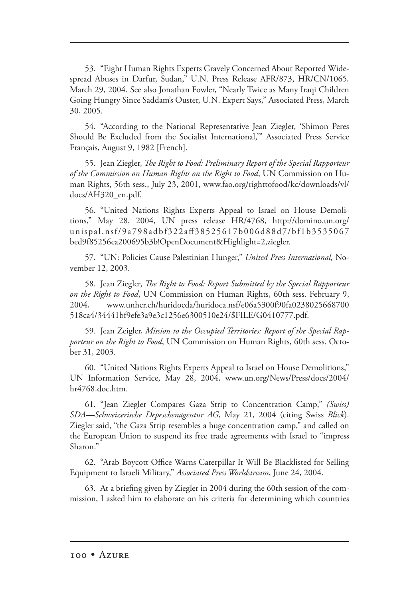53. "Eight Human Rights Experts Gravely Concerned About Reported Widespread Abuses in Darfur, Sudan," U.N. Press Release AFR/873, HR/CN/1065*,*  March 29, 2004. See also Jonathan Fowler, "Nearly Twice as Many Iraqi Children Going Hungry Since Saddam's Ouster, U.N. Expert Says," Associated Press, March 30, 2005.

54. "According to the National Representative Jean Ziegler, 'Shimon Peres Should Be Excluded from the Socialist International,'" Associated Press Service Français, August 9, 1982 [French].

55. Jean Ziegler, *The Right to Food: Preliminary Report of the Special Rapporteur of the Commission on Human Rights on the Right to Food*, UN Commission on Human Rights, 56th sess., July 23, 2001, www.fao.org/righttofood/kc/downloads/vl/ docs/AH320\_en.pdf.

56. "United Nations Rights Experts Appeal to Israel on House Demolitions," May 28, 2004, UN press release HR/4768, http://domino.un.org/ unispal.nsf/9a798adbf322aff38525617b006d88d7/bf1b3535067 bed9f85256ea200695b3b!OpenDocument&Highlight=2,ziegler.

57. "UN: Policies Cause Palestinian Hunger," *United Press International,* November 12, 2003.

58. Jean Ziegler, *The Right to Food: Report Submitted by the Special Rapporteur on the Right to Food*, UN Commission on Human Rights, 60th sess. February 9, 2004, www.unhcr.ch/huridocda/huridoca.nsf/e06a5300f90fa0238025668700 518ca4/34441bf9efe3a9e3c1256e6300510e24/\$FILE/G0410777.pdf.

59. Jean Zeigler, *Mission to the Occupied Territories: Report of the Special Rapporteur on the Right to Food*, UN Commission on Human Rights, 60th sess. October 31, 2003.

60. "United Nations Rights Experts Appeal to Israel on House Demolitions," UN Information Service, May 28, 2004, www.un.org/News/Press/docs/2004/ hr4768.doc.htm.

61. "Jean Ziegler Compares Gaza Strip to Concentration Camp," *(Swiss) SDA—Schweizerische Depeschenagentur AG*, May 21, 2004 (citing Swiss *Blick*). Ziegler said, "the Gaza Strip resembles a huge concentration camp," and called on the European Union to suspend its free trade agreements with Israel to "impress Sharon."

62. "Arab Boycott Office Warns Caterpillar It Will Be Blacklisted for Selling Equipment to Israeli Military," *Associated Press Worldstream*, June 24, 2004.

63. At a briefing given by Ziegler in 2004 during the 60th session of the commission, I asked him to elaborate on his criteria for determining which countries